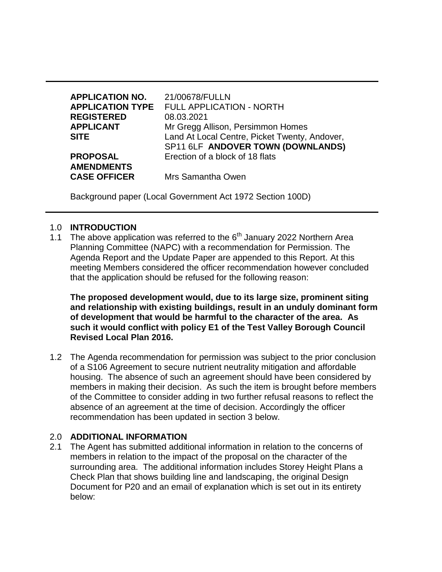| <b>APPLICATION NO.</b>  | 21/00678/FULLN                                |
|-------------------------|-----------------------------------------------|
| <b>APPLICATION TYPE</b> | FULL APPLICATION - NORTH                      |
| <b>REGISTERED</b>       | 08.03.2021                                    |
| <b>APPLICANT</b>        | Mr Gregg Allison, Persimmon Homes             |
| <b>SITE</b>             | Land At Local Centre, Picket Twenty, Andover, |
|                         | SP11 6LF ANDOVER TOWN (DOWNLANDS)             |
| <b>PROPOSAL</b>         | Erection of a block of 18 flats               |
| <b>AMENDMENTS</b>       |                                               |
| <b>CASE OFFICER</b>     | Mrs Samantha Owen                             |

Background paper (Local Government Act 1972 Section 100D)

## 1.0 **INTRODUCTION**

1.1 The above application was referred to the  $6<sup>th</sup>$  January 2022 Northern Area Planning Committee (NAPC) with a recommendation for Permission. The Agenda Report and the Update Paper are appended to this Report. At this meeting Members considered the officer recommendation however concluded that the application should be refused for the following reason:

**The proposed development would, due to its large size, prominent siting and relationship with existing buildings, result in an unduly dominant form of development that would be harmful to the character of the area. As such it would conflict with policy E1 of the Test Valley Borough Council Revised Local Plan 2016.**

1.2 The Agenda recommendation for permission was subject to the prior conclusion of a S106 Agreement to secure nutrient neutrality mitigation and affordable housing. The absence of such an agreement should have been considered by members in making their decision. As such the item is brought before members of the Committee to consider adding in two further refusal reasons to reflect the absence of an agreement at the time of decision. Accordingly the officer recommendation has been updated in section 3 below.

## 2.0 **ADDITIONAL INFORMATION**

2.1 The Agent has submitted additional information in relation to the concerns of members in relation to the impact of the proposal on the character of the surrounding area. The additional information includes Storey Height Plans a Check Plan that shows building line and landscaping, the original Design Document for P20 and an email of explanation which is set out in its entirety below: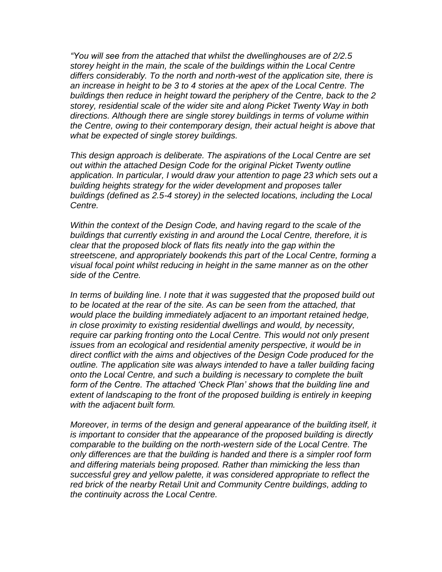*"You will see from the attached that whilst the dwellinghouses are of 2/2.5 storey height in the main, the scale of the buildings within the Local Centre differs considerably. To the north and north-west of the application site, there is an increase in height to be 3 to 4 stories at the apex of the Local Centre. The buildings then reduce in height toward the periphery of the Centre, back to the 2 storey, residential scale of the wider site and along Picket Twenty Way in both directions. Although there are single storey buildings in terms of volume within the Centre, owing to their contemporary design, their actual height is above that what be expected of single storey buildings.*

*This design approach is deliberate. The aspirations of the Local Centre are set out within the attached Design Code for the original Picket Twenty outline application. In particular, I would draw your attention to page 23 which sets out a building heights strategy for the wider development and proposes taller buildings (defined as 2.5-4 storey) in the selected locations, including the Local Centre.* 

*Within the context of the Design Code, and having regard to the scale of the buildings that currently existing in and around the Local Centre, therefore, it is clear that the proposed block of flats fits neatly into the gap within the streetscene, and appropriately bookends this part of the Local Centre, forming a visual focal point whilst reducing in height in the same manner as on the other side of the Centre.*

*In terms of building line. I note that it was suggested that the proposed build out to be located at the rear of the site. As can be seen from the attached, that would place the building immediately adjacent to an important retained hedge, in close proximity to existing residential dwellings and would, by necessity, require car parking fronting onto the Local Centre. This would not only present issues from an ecological and residential amenity perspective, it would be in direct conflict with the aims and objectives of the Design Code produced for the outline. The application site was always intended to have a taller building facing onto the Local Centre, and such a building is necessary to complete the built form of the Centre. The attached 'Check Plan' shows that the building line and*  extent of landscaping to the front of the proposed building is entirely in keeping *with the adjacent built form.*

*Moreover, in terms of the design and general appearance of the building itself, it is important to consider that the appearance of the proposed building is directly comparable to the building on the north-western side of the Local Centre. The only differences are that the building is handed and there is a simpler roof form and differing materials being proposed. Rather than mimicking the less than successful grey and yellow palette, it was considered appropriate to reflect the red brick of the nearby Retail Unit and Community Centre buildings, adding to the continuity across the Local Centre.*